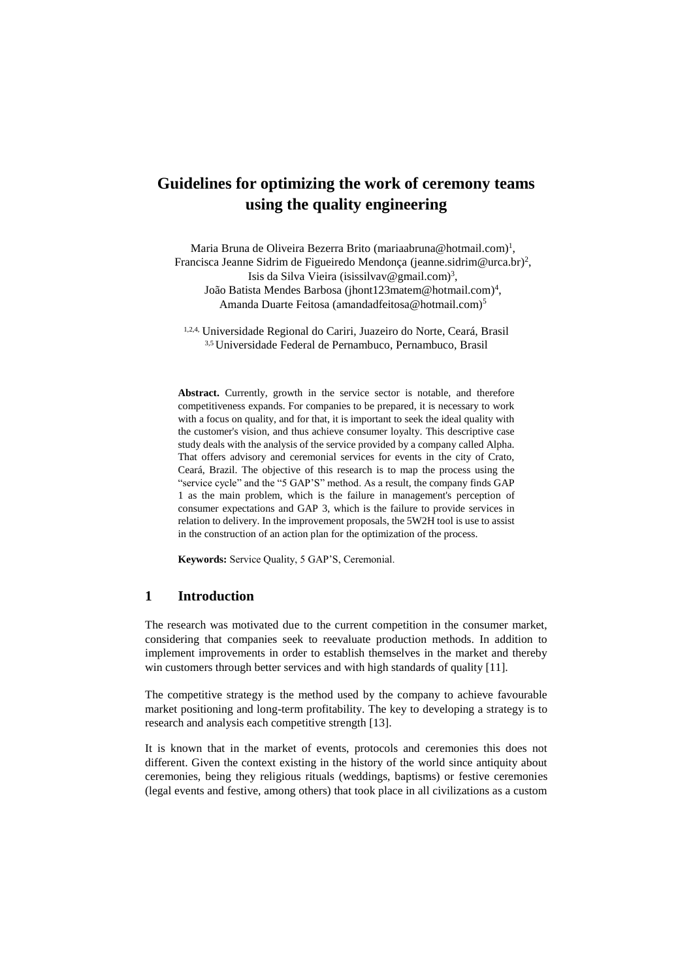# **Guidelines for optimizing the work of ceremony teams using the quality engineering**

Maria Bruna de Oliveira Bezerra Brito (mariaabruna@hotmail.com) 1 , Francisca Jeanne Sidrim de Figueiredo Mendonça [\(jeanne.sidrim@urca.br\)](mailto:jeanne.sidrim@urca.br)2) 2 , Isis da Silva Vieira (isissilvav@gmail.com) 3 , João Batista Mendes Barbosa [\(jhont123matem@hotmail.com\)](mailto:jhont123matem@hotmail.com)4) 4 , Amanda Duarte Feitosa [\(amandadfeitosa@hotmail.com\)](mailto:amandadfeitosa@hotmail.com)5)<sup>5</sup>

1,2,4, Universidade Regional do Cariri, Juazeiro do Norte, Ceará, Brasil 3,5 Universidade Federal de Pernambuco, Pernambuco, Brasil

**Abstract.** Currently, growth in the service sector is notable, and therefore competitiveness expands. For companies to be prepared, it is necessary to work with a focus on quality, and for that, it is important to seek the ideal quality with the customer's vision, and thus achieve consumer loyalty. This descriptive case study deals with the analysis of the service provided by a company called Alpha. That offers advisory and ceremonial services for events in the city of Crato, Ceará, Brazil. The objective of this research is to map the process using the "service cycle" and the "5 GAP'S" method. As a result, the company finds GAP 1 as the main problem, which is the failure in management's perception of consumer expectations and GAP 3, which is the failure to provide services in relation to delivery. In the improvement proposals, the 5W2H tool is use to assist in the construction of an action plan for the optimization of the process.

**Keywords:** Service Quality, 5 GAP'S, Ceremonial.

### **1 Introduction**

The research was motivated due to the current competition in the consumer market, considering that companies seek to reevaluate production methods. In addition to implement improvements in order to establish themselves in the market and thereby win customers through better services and with high standards of quality [11].

The competitive strategy is the method used by the company to achieve favourable market positioning and long-term profitability. The key to developing a strategy is to research and analysis each competitive strength [13].

It is known that in the market of events, protocols and ceremonies this does not different. Given the context existing in the history of the world since antiquity about ceremonies, being they religious rituals (weddings, baptisms) or festive ceremonies (legal events and festive, among others) that took place in all civilizations as a custom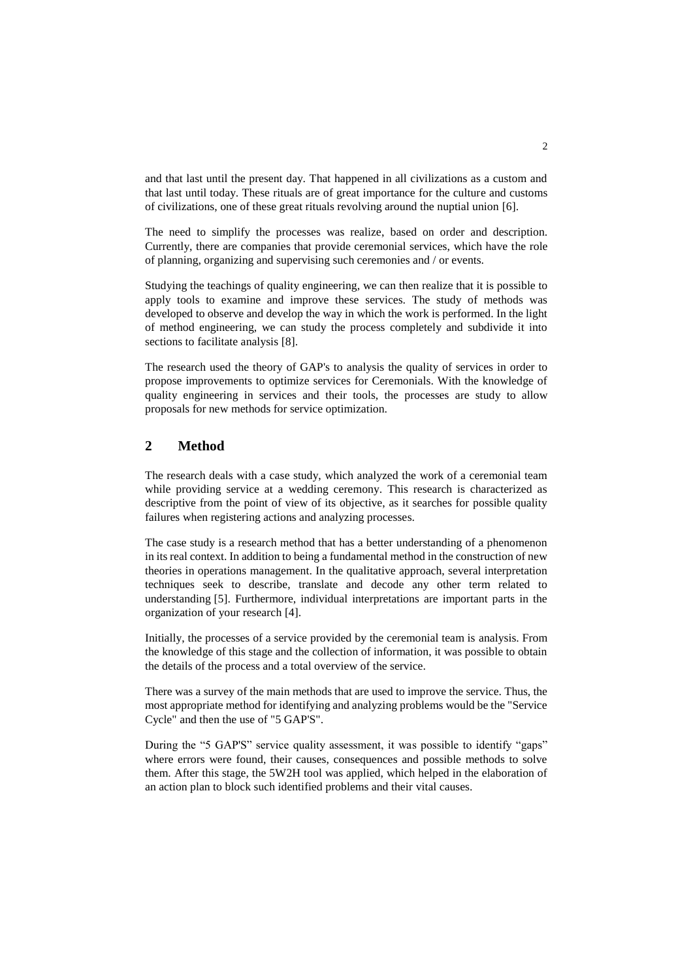and that last until the present day. That happened in all civilizations as a custom and that last until today. These rituals are of great importance for the culture and customs of civilizations, one of these great rituals revolving around the nuptial union [6].

The need to simplify the processes was realize, based on order and description. Currently, there are companies that provide ceremonial services, which have the role of planning, organizing and supervising such ceremonies and / or events.

Studying the teachings of quality engineering, we can then realize that it is possible to apply tools to examine and improve these services. The study of methods was developed to observe and develop the way in which the work is performed. In the light of method engineering, we can study the process completely and subdivide it into sections to facilitate analysis [8].

The research used the theory of GAP's to analysis the quality of services in order to propose improvements to optimize services for Ceremonials. With the knowledge of quality engineering in services and their tools, the processes are study to allow proposals for new methods for service optimization.

# **2 Method**

The research deals with a case study, which analyzed the work of a ceremonial team while providing service at a wedding ceremony. This research is characterized as descriptive from the point of view of its objective, as it searches for possible quality failures when registering actions and analyzing processes.

The case study is a research method that has a better understanding of a phenomenon in its real context. In addition to being a fundamental method in the construction of new theories in operations management. In the qualitative approach, several interpretation techniques seek to describe, translate and decode any other term related to understanding [5]. Furthermore, individual interpretations are important parts in the organization of your research [4].

Initially, the processes of a service provided by the ceremonial team is analysis. From the knowledge of this stage and the collection of information, it was possible to obtain the details of the process and a total overview of the service.

There was a survey of the main methods that are used to improve the service. Thus, the most appropriate method for identifying and analyzing problems would be the "Service Cycle" and then the use of "5 GAP'S".

During the "5 GAP'S" service quality assessment, it was possible to identify "gaps" where errors were found, their causes, consequences and possible methods to solve them. After this stage, the 5W2H tool was applied, which helped in the elaboration of an action plan to block such identified problems and their vital causes.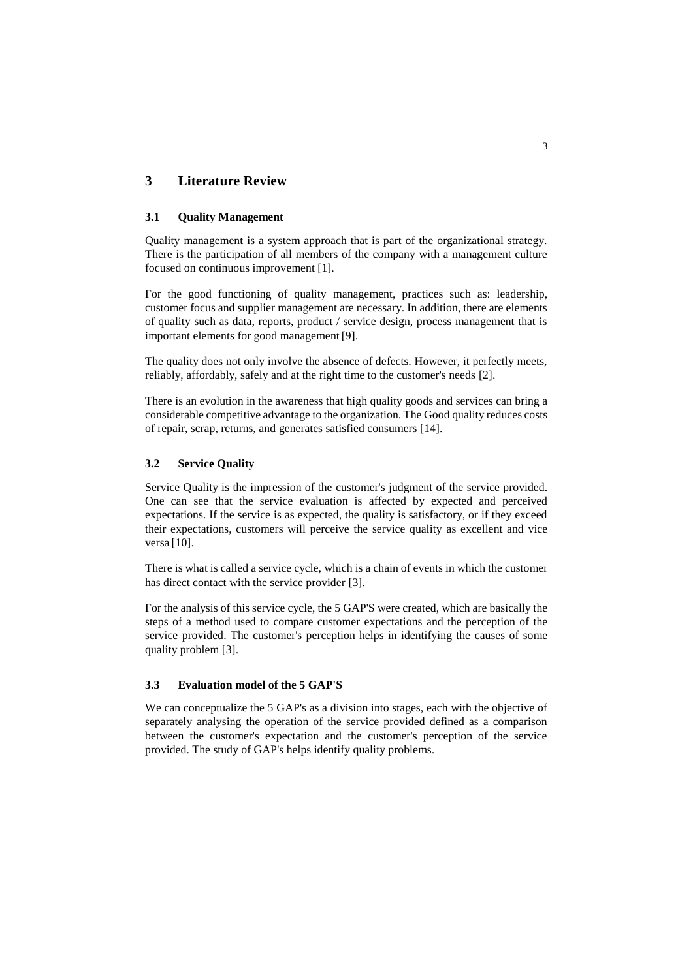### **3 Literature Review**

#### **3.1 Quality Management**

Quality management is a system approach that is part of the organizational strategy. There is the participation of all members of the company with a management culture focused on continuous improvement [1].

For the good functioning of quality management, practices such as: leadership, customer focus and supplier management are necessary. In addition, there are elements of quality such as data, reports, product / service design, process management that is important elements for good management [9].

The quality does not only involve the absence of defects. However, it perfectly meets, reliably, affordably, safely and at the right time to the customer's needs [2].

There is an evolution in the awareness that high quality goods and services can bring a considerable competitive advantage to the organization. The Good quality reduces costs of repair, scrap, returns, and generates satisfied consumers [14].

#### **3.2 Service Quality**

Service Quality is the impression of the customer's judgment of the service provided. One can see that the service evaluation is affected by expected and perceived expectations. If the service is as expected, the quality is satisfactory, or if they exceed their expectations, customers will perceive the service quality as excellent and vice versa [10].

There is what is called a service cycle, which is a chain of events in which the customer has direct contact with the service provider [3].

For the analysis of this service cycle, the 5 GAP'S were created, which are basically the steps of a method used to compare customer expectations and the perception of the service provided. The customer's perception helps in identifying the causes of some quality problem [3].

#### **3.3 Evaluation model of the 5 GAP'S**

We can conceptualize the 5 GAP's as a division into stages, each with the objective of separately analysing the operation of the service provided defined as a comparison between the customer's expectation and the customer's perception of the service provided. The study of GAP's helps identify quality problems.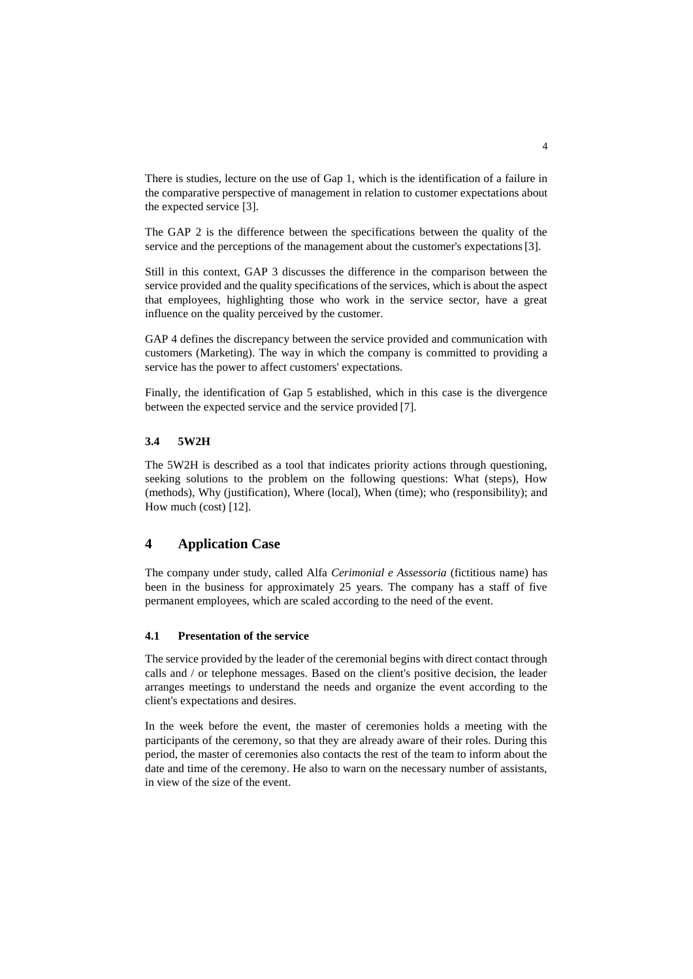There is studies, lecture on the use of Gap 1, which is the identification of a failure in the comparative perspective of management in relation to customer expectations about the expected service [3].

The GAP 2 is the difference between the specifications between the quality of the service and the perceptions of the management about the customer's expectations[3].

Still in this context, GAP 3 discusses the difference in the comparison between the service provided and the quality specifications of the services, which is about the aspect that employees, highlighting those who work in the service sector, have a great influence on the quality perceived by the customer.

GAP 4 defines the discrepancy between the service provided and communication with customers (Marketing). The way in which the company is committed to providing a service has the power to affect customers' expectations.

Finally, the identification of Gap 5 established, which in this case is the divergence between the expected service and the service provided [7].

### **3.4 5W2H**

The 5W2H is described as a tool that indicates priority actions through questioning, seeking solutions to the problem on the following questions: What (steps), How (methods), Why (justification), Where (local), When (time); who (responsibility); and How much (cost) [12].

### **4 Application Case**

The company under study, called Alfa *Cerimonial e Assessoria* (fictitious name) has been in the business for approximately 25 years. The company has a staff of five permanent employees, which are scaled according to the need of the event.

#### **4.1 Presentation of the service**

The service provided by the leader of the ceremonial begins with direct contact through calls and / or telephone messages. Based on the client's positive decision, the leader arranges meetings to understand the needs and organize the event according to the client's expectations and desires.

In the week before the event, the master of ceremonies holds a meeting with the participants of the ceremony, so that they are already aware of their roles. During this period, the master of ceremonies also contacts the rest of the team to inform about the date and time of the ceremony. He also to warn on the necessary number of assistants, in view of the size of the event.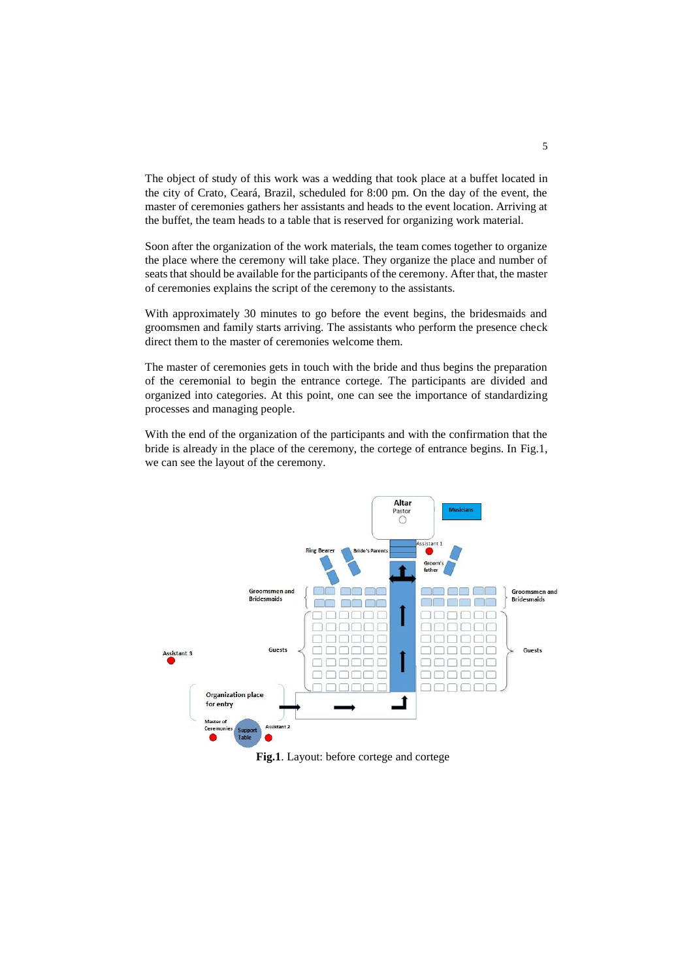The object of study of this work was a wedding that took place at a buffet located in the city of Crato, Ceará, Brazil, scheduled for 8:00 pm. On the day of the event, the master of ceremonies gathers her assistants and heads to the event location. Arriving at the buffet, the team heads to a table that is reserved for organizing work material.

Soon after the organization of the work materials, the team comes together to organize the place where the ceremony will take place. They organize the place and number of seats that should be available for the participants of the ceremony. After that, the master of ceremonies explains the script of the ceremony to the assistants.

With approximately 30 minutes to go before the event begins, the bridesmaids and groomsmen and family starts arriving. The assistants who perform the presence check direct them to the master of ceremonies welcome them.

The master of ceremonies gets in touch with the bride and thus begins the preparation of the ceremonial to begin the entrance cortege. The participants are divided and organized into categories. At this point, one can see the importance of standardizing processes and managing people.

With the end of the organization of the participants and with the confirmation that the bride is already in the place of the ceremony, the cortege of entrance begins. In Fig.1, we can see the layout of the ceremony.



**Fig.1**. Layout: before cortege and cortege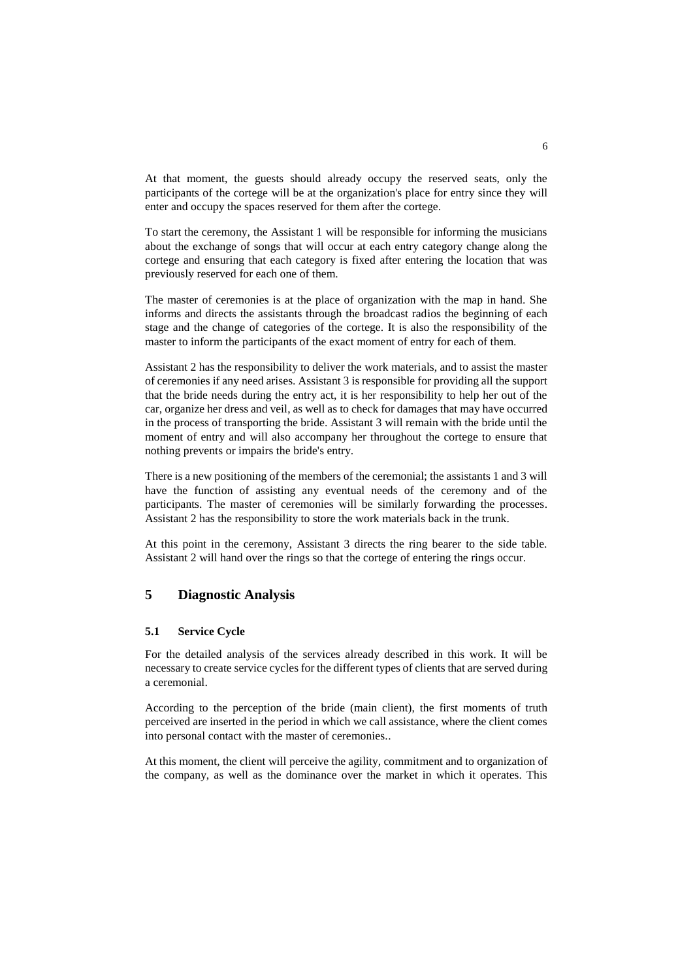At that moment, the guests should already occupy the reserved seats, only the participants of the cortege will be at the organization's place for entry since they will enter and occupy the spaces reserved for them after the cortege.

To start the ceremony, the Assistant 1 will be responsible for informing the musicians about the exchange of songs that will occur at each entry category change along the cortege and ensuring that each category is fixed after entering the location that was previously reserved for each one of them.

The master of ceremonies is at the place of organization with the map in hand. She informs and directs the assistants through the broadcast radios the beginning of each stage and the change of categories of the cortege. It is also the responsibility of the master to inform the participants of the exact moment of entry for each of them.

Assistant 2 has the responsibility to deliver the work materials, and to assist the master of ceremonies if any need arises. Assistant 3 is responsible for providing all the support that the bride needs during the entry act, it is her responsibility to help her out of the car, organize her dress and veil, as well as to check for damages that may have occurred in the process of transporting the bride. Assistant 3 will remain with the bride until the moment of entry and will also accompany her throughout the cortege to ensure that nothing prevents or impairs the bride's entry.

There is a new positioning of the members of the ceremonial; the assistants 1 and 3 will have the function of assisting any eventual needs of the ceremony and of the participants. The master of ceremonies will be similarly forwarding the processes. Assistant 2 has the responsibility to store the work materials back in the trunk.

At this point in the ceremony, Assistant 3 directs the ring bearer to the side table. Assistant 2 will hand over the rings so that the cortege of entering the rings occur.

## **5 Diagnostic Analysis**

### **5.1 Service Cycle**

For the detailed analysis of the services already described in this work. It will be necessary to create service cycles for the different types of clients that are served during a ceremonial.

According to the perception of the bride (main client), the first moments of truth perceived are inserted in the period in which we call assistance, where the client comes into personal contact with the master of ceremonies..

At this moment, the client will perceive the agility, commitment and to organization of the company, as well as the dominance over the market in which it operates. This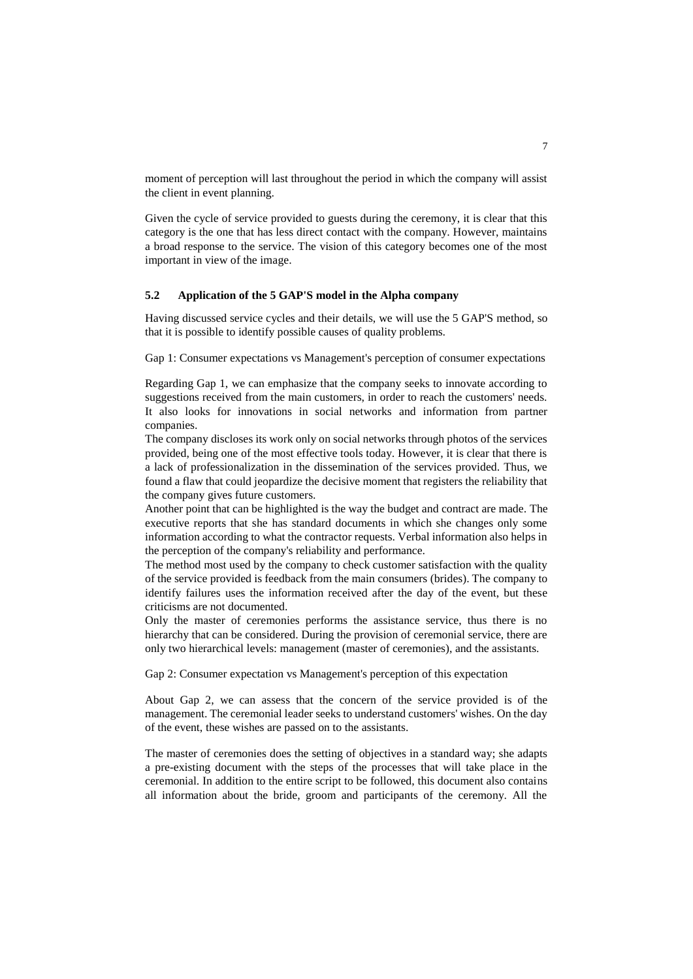moment of perception will last throughout the period in which the company will assist the client in event planning.

Given the cycle of service provided to guests during the ceremony, it is clear that this category is the one that has less direct contact with the company. However, maintains a broad response to the service. The vision of this category becomes one of the most important in view of the image.

#### **5.2 Application of the 5 GAP'S model in the Alpha company**

Having discussed service cycles and their details, we will use the 5 GAP'S method, so that it is possible to identify possible causes of quality problems.

Gap 1: Consumer expectations vs Management's perception of consumer expectations

Regarding Gap 1, we can emphasize that the company seeks to innovate according to suggestions received from the main customers, in order to reach the customers' needs. It also looks for innovations in social networks and information from partner companies.

The company discloses its work only on social networks through photos of the services provided, being one of the most effective tools today. However, it is clear that there is a lack of professionalization in the dissemination of the services provided. Thus, we found a flaw that could jeopardize the decisive moment that registers the reliability that the company gives future customers.

Another point that can be highlighted is the way the budget and contract are made. The executive reports that she has standard documents in which she changes only some information according to what the contractor requests. Verbal information also helps in the perception of the company's reliability and performance.

The method most used by the company to check customer satisfaction with the quality of the service provided is feedback from the main consumers (brides). The company to identify failures uses the information received after the day of the event, but these criticisms are not documented.

Only the master of ceremonies performs the assistance service, thus there is no hierarchy that can be considered. During the provision of ceremonial service, there are only two hierarchical levels: management (master of ceremonies), and the assistants.

Gap 2: Consumer expectation vs Management's perception of this expectation

About Gap 2, we can assess that the concern of the service provided is of the management. The ceremonial leader seeks to understand customers' wishes. On the day of the event, these wishes are passed on to the assistants.

The master of ceremonies does the setting of objectives in a standard way; she adapts a pre-existing document with the steps of the processes that will take place in the ceremonial. In addition to the entire script to be followed, this document also contains all information about the bride, groom and participants of the ceremony. All the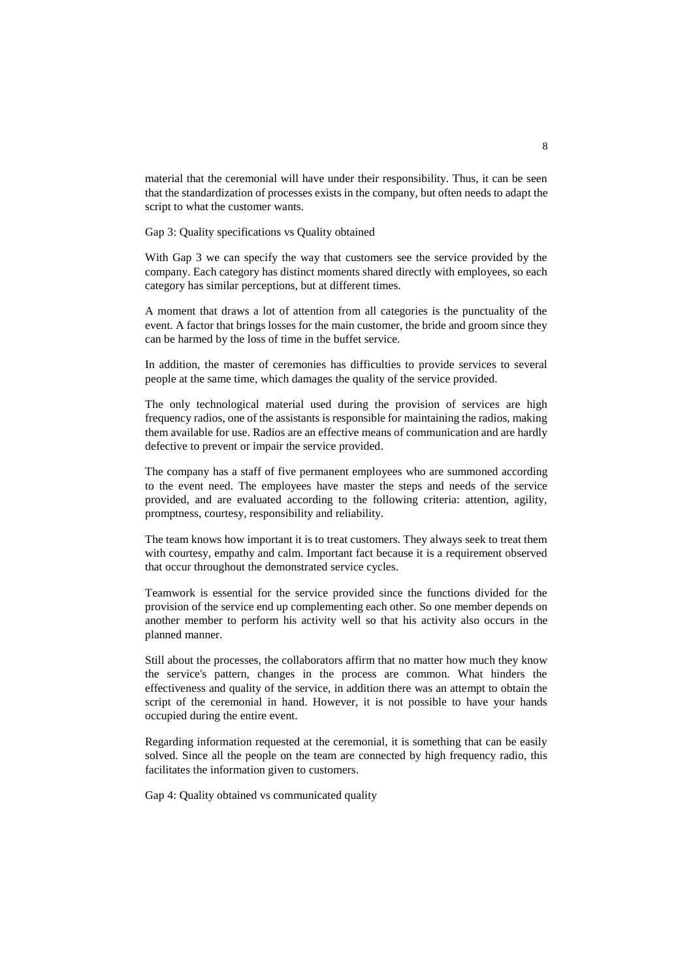material that the ceremonial will have under their responsibility. Thus, it can be seen that the standardization of processes exists in the company, but often needs to adapt the script to what the customer wants.

Gap 3: Quality specifications vs Quality obtained

With Gap 3 we can specify the way that customers see the service provided by the company. Each category has distinct moments shared directly with employees, so each category has similar perceptions, but at different times.

A moment that draws a lot of attention from all categories is the punctuality of the event. A factor that brings losses for the main customer, the bride and groom since they can be harmed by the loss of time in the buffet service.

In addition, the master of ceremonies has difficulties to provide services to several people at the same time, which damages the quality of the service provided.

The only technological material used during the provision of services are high frequency radios, one of the assistants is responsible for maintaining the radios, making them available for use. Radios are an effective means of communication and are hardly defective to prevent or impair the service provided.

The company has a staff of five permanent employees who are summoned according to the event need. The employees have master the steps and needs of the service provided, and are evaluated according to the following criteria: attention, agility, promptness, courtesy, responsibility and reliability.

The team knows how important it is to treat customers. They always seek to treat them with courtesy, empathy and calm. Important fact because it is a requirement observed that occur throughout the demonstrated service cycles.

Teamwork is essential for the service provided since the functions divided for the provision of the service end up complementing each other. So one member depends on another member to perform his activity well so that his activity also occurs in the planned manner.

Still about the processes, the collaborators affirm that no matter how much they know the service's pattern, changes in the process are common. What hinders the effectiveness and quality of the service, in addition there was an attempt to obtain the script of the ceremonial in hand. However, it is not possible to have your hands occupied during the entire event.

Regarding information requested at the ceremonial, it is something that can be easily solved. Since all the people on the team are connected by high frequency radio, this facilitates the information given to customers.

Gap 4: Quality obtained vs communicated quality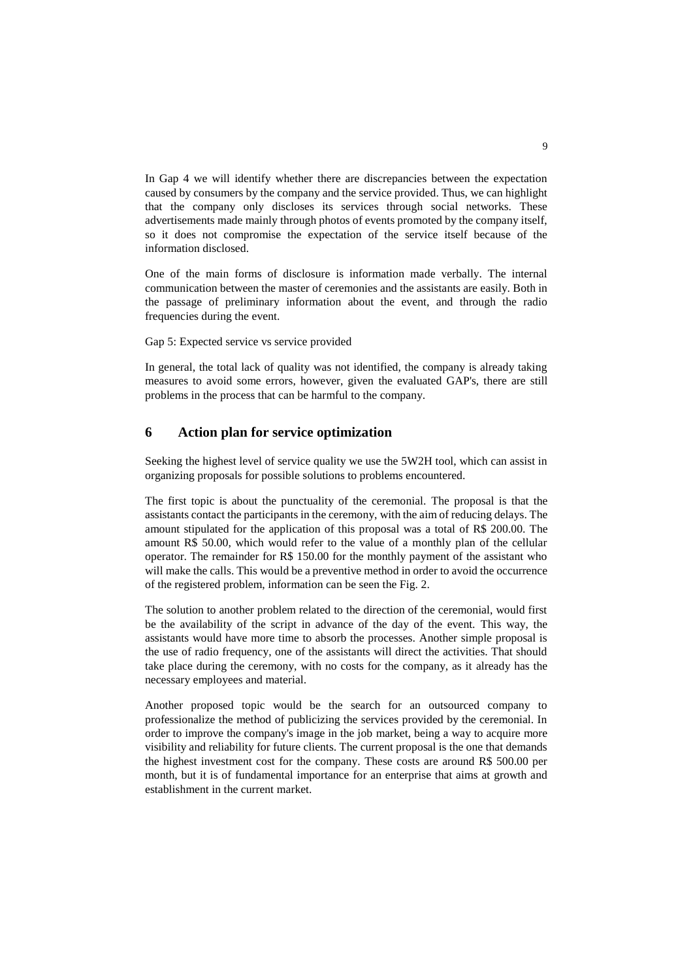In Gap 4 we will identify whether there are discrepancies between the expectation caused by consumers by the company and the service provided. Thus, we can highlight that the company only discloses its services through social networks. These advertisements made mainly through photos of events promoted by the company itself, so it does not compromise the expectation of the service itself because of the information disclosed.

One of the main forms of disclosure is information made verbally. The internal communication between the master of ceremonies and the assistants are easily. Both in the passage of preliminary information about the event, and through the radio frequencies during the event.

Gap 5: Expected service vs service provided

In general, the total lack of quality was not identified, the company is already taking measures to avoid some errors, however, given the evaluated GAP's, there are still problems in the process that can be harmful to the company.

### **6 Action plan for service optimization**

Seeking the highest level of service quality we use the 5W2H tool, which can assist in organizing proposals for possible solutions to problems encountered.

The first topic is about the punctuality of the ceremonial. The proposal is that the assistants contact the participants in the ceremony, with the aim of reducing delays. The amount stipulated for the application of this proposal was a total of R\$ 200.00. The amount R\$ 50.00, which would refer to the value of a monthly plan of the cellular operator. The remainder for R\$ 150.00 for the monthly payment of the assistant who will make the calls. This would be a preventive method in order to avoid the occurrence of the registered problem, information can be seen the Fig. 2.

The solution to another problem related to the direction of the ceremonial, would first be the availability of the script in advance of the day of the event. This way, the assistants would have more time to absorb the processes. Another simple proposal is the use of radio frequency, one of the assistants will direct the activities. That should take place during the ceremony, with no costs for the company, as it already has the necessary employees and material.

Another proposed topic would be the search for an outsourced company to professionalize the method of publicizing the services provided by the ceremonial. In order to improve the company's image in the job market, being a way to acquire more visibility and reliability for future clients. The current proposal is the one that demands the highest investment cost for the company. These costs are around R\$ 500.00 per month, but it is of fundamental importance for an enterprise that aims at growth and establishment in the current market.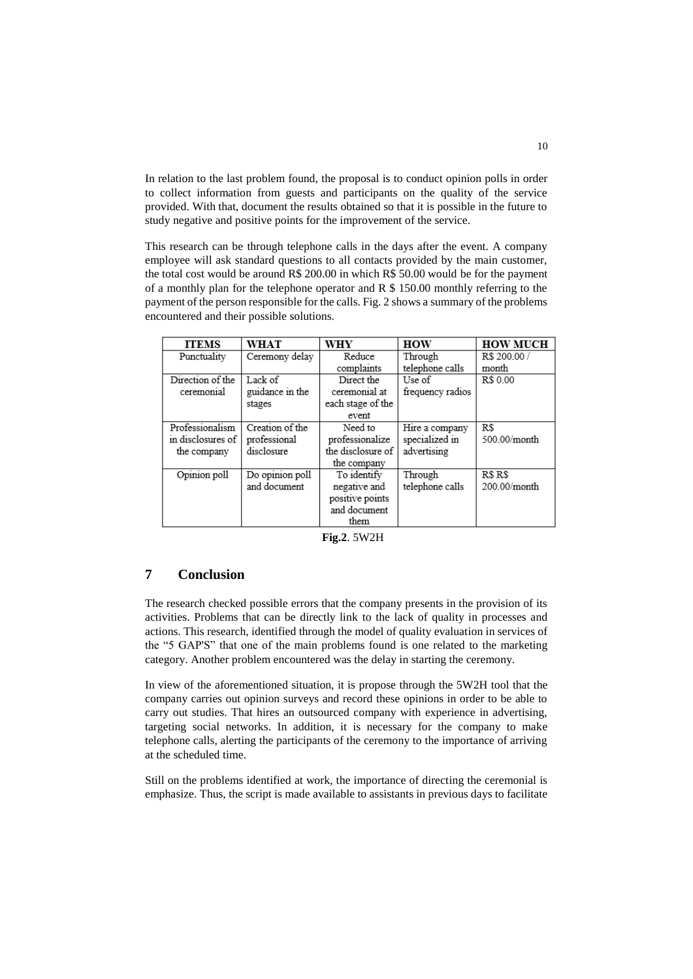In relation to the last problem found, the proposal is to conduct opinion polls in order to collect information from guests and participants on the quality of the service provided. With that, document the results obtained so that it is possible in the future to study negative and positive points for the improvement of the service.

This research can be through telephone calls in the days after the event. A company employee will ask standard questions to all contacts provided by the main customer, the total cost would be around R\$ 200.00 in which R\$ 50.00 would be for the payment of a monthly plan for the telephone operator and R \$ 150.00 monthly referring to the payment of the person responsible for the calls. Fig. 2 shows a summary of the problems encountered and their possible solutions.

| ITEMS             | <b>WHAT</b>     | WHY               | <b>HOW</b>       | <b>HOW MUCH</b> |
|-------------------|-----------------|-------------------|------------------|-----------------|
| Punctuality       | Ceremony delay  | Reduce            | Through          | R\$ 200.00 /    |
|                   |                 | complaints        | telephone calls  | month           |
| Direction of the  | Lack of         | Direct the        | Use of           | R\$ 0.00        |
| ceremonial        | guidance in the | ceremonial at     | frequency radios |                 |
|                   | stages          | each stage of the |                  |                 |
|                   |                 | event             |                  |                 |
| Professionalism   | Creation of the | Need to           | Hire a company   | R\$             |
| in disclosures of | professional    | professionalize   | specialized in   | 500.00/month    |
| the company       | disclosure      | the disclosure of | advertising      |                 |
|                   |                 | the company       |                  |                 |
| Opinion poll      | Do opinion poll | To identify       | Through          | R\$ R\$         |
|                   | and document    | negative and      | telephone calls  | $200.00/m$ onth |
|                   |                 | positive points   |                  |                 |
|                   |                 | and document      |                  |                 |
|                   |                 | them              |                  |                 |

|  | Fig.2. 5W2H |
|--|-------------|
|--|-------------|

### **7 Conclusion**

The research checked possible errors that the company presents in the provision of its activities. Problems that can be directly link to the lack of quality in processes and actions. This research, identified through the model of quality evaluation in services of the "5 GAP'S" that one of the main problems found is one related to the marketing category. Another problem encountered was the delay in starting the ceremony.

In view of the aforementioned situation, it is propose through the 5W2H tool that the company carries out opinion surveys and record these opinions in order to be able to carry out studies. That hires an outsourced company with experience in advertising, targeting social networks. In addition, it is necessary for the company to make telephone calls, alerting the participants of the ceremony to the importance of arriving at the scheduled time.

Still on the problems identified at work, the importance of directing the ceremonial is emphasize. Thus, the script is made available to assistants in previous days to facilitate